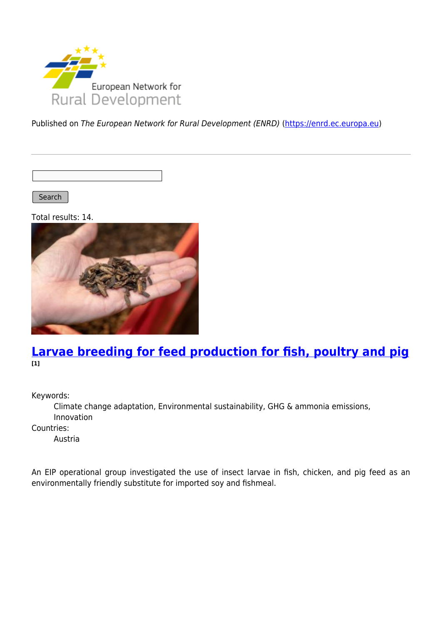

Published on The European Network for Rural Development (ENRD) [\(https://enrd.ec.europa.eu](https://enrd.ec.europa.eu))

Search |

Total results: 14.



### **[Larvae breeding for feed production for fish, poultry and pig](https://enrd.ec.europa.eu/projects-practice/larvae-breeding-feed-production-fish-poultry-and-pig_en) [1]**

Keywords:

Climate change adaptation, Environmental sustainability, GHG & ammonia emissions, Innovation

Countries:

Austria

An EIP operational group investigated the use of insect larvae in fish, chicken, and pig feed as an environmentally friendly substitute for imported soy and fishmeal.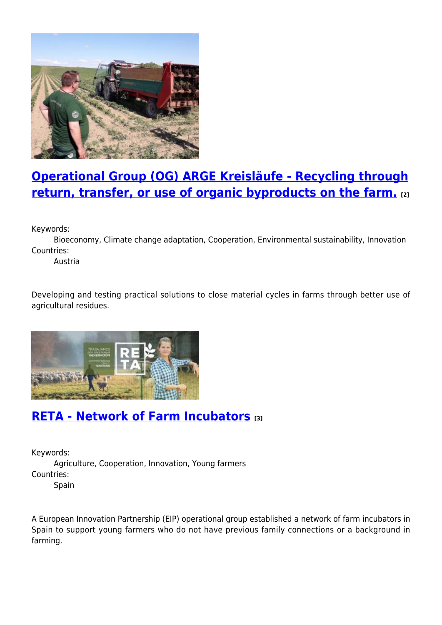

# **[Operational Group \(OG\) ARGE Kreisläufe - Recycling through](https://enrd.ec.europa.eu/projects-practice/operational-group-og-arge-kreislaufe-recycling-through-return-transfer-or-use_en) [return, transfer, or use of organic byproducts on the farm.](https://enrd.ec.europa.eu/projects-practice/operational-group-og-arge-kreislaufe-recycling-through-return-transfer-or-use_en) [2]**

Keywords:

Bioeconomy, Climate change adaptation, Cooperation, Environmental sustainability, Innovation Countries:

Austria

Developing and testing practical solutions to close material cycles in farms through better use of agricultural residues.



## **[RETA - Network of Farm Incubators](https://enrd.ec.europa.eu/projects-practice/reta-network-farm-incubators_en) [3]**

Keywords: Agriculture, Cooperation, Innovation, Young farmers Countries: Spain

A European Innovation Partnership (EIP) operational group established a network of farm incubators in Spain to support young farmers who do not have previous family connections or a background in farming.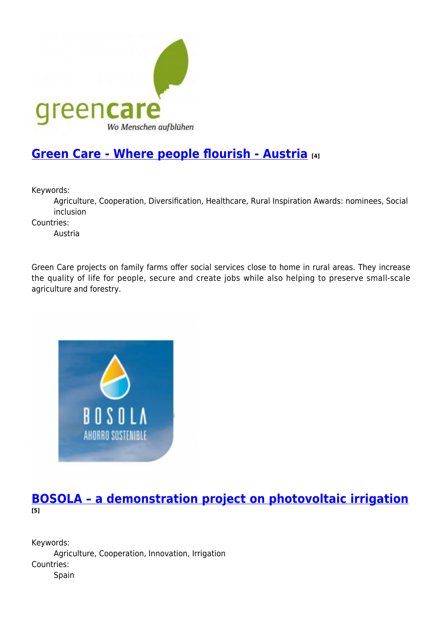

# **[Green Care - Where people flourish - Austria](https://enrd.ec.europa.eu/projects-practice/green-care-where-people-flourish-austria_en) [4]**

Keywords:

Agriculture, Cooperation, Diversification, Healthcare, Rural Inspiration Awards: nominees, Social inclusion

Countries:

Austria

Green Care projects on family farms offer social services close to home in rural areas. They increase the quality of life for people, secure and create jobs while also helping to preserve small-scale agriculture and forestry.



### **[BOSOLA – a demonstration project on photovoltaic irrigation](https://enrd.ec.europa.eu/projects-practice/bosola-demonstration-project-photovoltaic-irrigation_en) [5]**

Keywords: Agriculture, Cooperation, Innovation, Irrigation Countries: Spain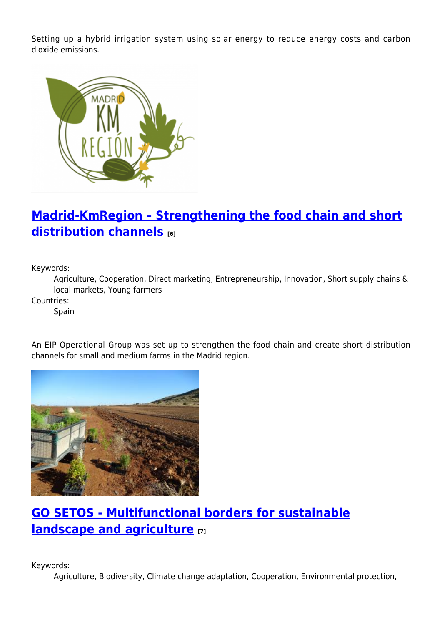Setting up a hybrid irrigation system using solar energy to reduce energy costs and carbon dioxide emissions.



# **[Madrid-KmRegion – Strengthening the food chain and short](https://enrd.ec.europa.eu/projects-practice/madrid-kmregion-strengthening-food-chain-and-short-distribution-channels_en) [distribution channels](https://enrd.ec.europa.eu/projects-practice/madrid-kmregion-strengthening-food-chain-and-short-distribution-channels_en) [6]**

Keywords:

Agriculture, Cooperation, Direct marketing, Entrepreneurship, Innovation, Short supply chains & local markets, Young farmers

Countries:

Spain

An EIP Operational Group was set up to strengthen the food chain and create short distribution channels for small and medium farms in the Madrid region.



# **[GO SETOS - Multifunctional borders for sustainable](https://enrd.ec.europa.eu/projects-practice/go-setos-multifunctional-borders-sustainable-landscape-and-agriculture_en) [landscape and agriculture](https://enrd.ec.europa.eu/projects-practice/go-setos-multifunctional-borders-sustainable-landscape-and-agriculture_en) [7]**

Keywords:

Agriculture, Biodiversity, Climate change adaptation, Cooperation, Environmental protection,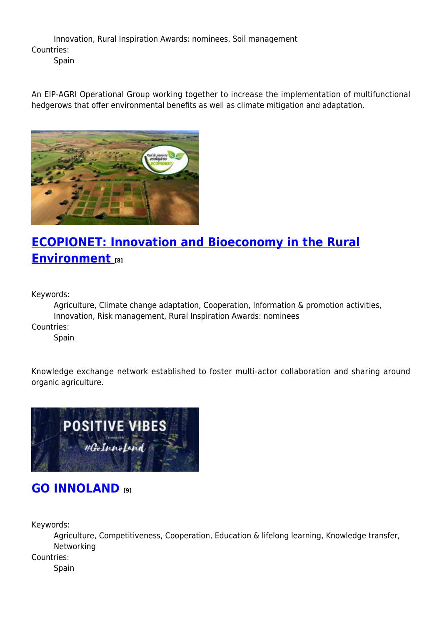Innovation, Rural Inspiration Awards: nominees, Soil management Countries:

**Spain** 

An EIP-AGRI Operational Group working together to increase the implementation of multifunctional hedgerows that offer environmental benefits as well as climate mitigation and adaptation.



# **[ECOPIONET: Innovation and Bioeconomy in the Rural](https://enrd.ec.europa.eu/projects-practice/ecopionet-innovation-and-bioeconomy-rural-environment_en) [Environment](https://enrd.ec.europa.eu/projects-practice/ecopionet-innovation-and-bioeconomy-rural-environment_en) [8]**

Keywords:

Agriculture, Climate change adaptation, Cooperation, Information & promotion activities, Innovation, Risk management, Rural Inspiration Awards: nominees Countries:

**Spain** 

Knowledge exchange network established to foster multi-actor collaboration and sharing around organic agriculture.



## **[GO INNOLAND](https://enrd.ec.europa.eu/projects-practice/go-innoland_en) [9]**

Keywords:

Agriculture, Competitiveness, Cooperation, Education & lifelong learning, Knowledge transfer, Networking

Countries:

Spain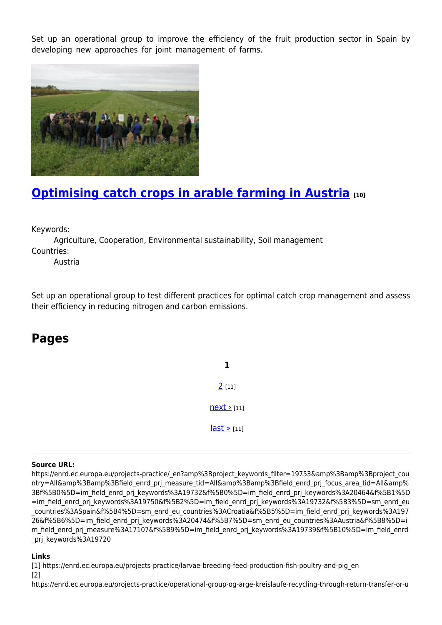Set up an operational group to improve the efficiency of the fruit production sector in Spain by developing new approaches for joint management of farms.



# **[Optimising catch crops in arable farming in Austria](https://enrd.ec.europa.eu/projects-practice/optimising-catch-crops-arable-farming-austria_en) [10]**

Keywords:

Agriculture, Cooperation, Environmental sustainability, Soil management Countries:

Austria

Set up an operational group to test different practices for optimal catch crop management and assess their efficiency in reducing nitrogen and carbon emissions.

## **Pages**

**1** [2](https://enrd.ec.europa.eu/projects-practice/_en?page=1&%3Bproject_keywords_filter=19753&%3Bamp%3Bproject_country=All&%3Bamp%3Bfield_enrd_prj_measure_tid=All&%3Bamp%3Bfield_enrd_prj_focus_area_tid=All&%3Bf%5B0%5D=im_field_enrd_prj_keywords%3A19732&f%5B0%5D=im_field_enrd_prj_keywords%3A20464&f%5B1%5D=im_field_enrd_prj_keywords%3A19750&f%5B2%5D=im_field_enrd_prj_keywords%3A19732&f%5B3%5D=sm_enrd_eu_countries%3ASpain&f%5B4%5D=sm_enrd_eu_countries%3ACroatia&f%5B5%5D=im_field_enrd_prj_keywords%3A19726&f%5B6%5D=im_field_enrd_prj_keywords%3A20474&f%5B7%5D=sm_enrd_eu_countries%3AAustria&f%5B8%5D=im_field_enrd_prj_measure%3A17107&f%5B9%5D=im_field_enrd_prj_keywords%3A19739&f%5B10%5D=im_field_enrd_prj_keywords%3A19720) [11]  $next$  [11]  $last \times [11]$ 

#### **Source URL:**

https://enrd.ec.europa.eu/projects-practice/\_en?amp%3Bproject\_keywords\_filter=19753&amp%3Bamp%3Bproject\_cou ntry=All&amp%3Bamp%3Bfield\_enrd\_prj\_measure\_tid=All&amp%3Bamp%3Bfield\_enrd\_prj\_focus\_area\_tid=All&amp% 3Bf%5B0%5D=im\_field\_enrd\_prj\_keywords%3A19732&f%5B0%5D=im\_field\_enrd\_prj\_keywords%3A20464&f%5B1%5D =im\_field\_enrd\_prj\_keywords%3A19750&f%5B2%5D=im\_field\_enrd\_prj\_keywords%3A19732&f%5B3%5D=sm\_enrd\_eu \_countries%3ASpain&f%5B4%5D=sm\_enrd\_eu\_countries%3ACroatia&f%5B5%5D=im\_field\_enrd\_prj\_keywords%3A197 26&f%5B6%5D=im\_field\_enrd\_prj\_keywords%3A20474&f%5B7%5D=sm\_enrd\_eu\_countries%3AAustria&f%5B8%5D=i m\_field\_enrd\_prj\_measure%3A17107&f%5B9%5D=im\_field\_enrd\_prj\_keywords%3A19739&f%5B10%5D=im\_field\_enrd \_prj\_keywords%3A19720

#### **Links**

[1] https://enrd.ec.europa.eu/projects-practice/larvae-breeding-feed-production-fish-poultry-and-pig\_en [2]

https://enrd.ec.europa.eu/projects-practice/operational-group-og-arge-kreislaufe-recycling-through-return-transfer-or-u